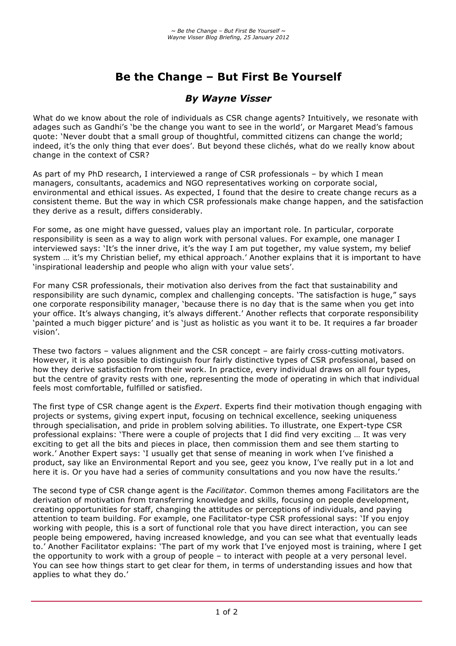# **Be the Change – But First Be Yourself**

## *By Wayne Visser*

What do we know about the role of individuals as CSR change agents? Intuitively, we resonate with adages such as Gandhi's 'be the change you want to see in the world', or Margaret Mead's famous quote: 'Never doubt that a small group of thoughtful, committed citizens can change the world; indeed, it's the only thing that ever does'. But beyond these clichés, what do we really know about change in the context of CSR?

As part of my PhD research, I interviewed a range of CSR professionals – by which I mean managers, consultants, academics and NGO representatives working on corporate social, environmental and ethical issues. As expected, I found that the desire to create change recurs as a consistent theme. But the way in which CSR professionals make change happen, and the satisfaction they derive as a result, differs considerably.

For some, as one might have guessed, values play an important role. In particular, corporate responsibility is seen as a way to align work with personal values. For example, one manager I interviewed says: 'It's the inner drive, it's the way I am put together, my value system, my belief system ... it's my Christian belief, my ethical approach.' Another explains that it is important to have 'inspirational leadership and people who align with your value sets'.

For many CSR professionals, their motivation also derives from the fact that sustainability and responsibility are such dynamic, complex and challenging concepts. 'The satisfaction is huge," says one corporate responsibility manager, 'because there is no day that is the same when you get into your office. It's always changing, it's always different.' Another reflects that corporate responsibility 'painted a much bigger picture' and is 'just as holistic as you want it to be. It requires a far broader vision'.

These two factors – values alignment and the CSR concept – are fairly cross-cutting motivators. However, it is also possible to distinguish four fairly distinctive types of CSR professional, based on how they derive satisfaction from their work. In practice, every individual draws on all four types, but the centre of gravity rests with one, representing the mode of operating in which that individual feels most comfortable, fulfilled or satisfied.

The first type of CSR change agent is the *Expert*. Experts find their motivation though engaging with projects or systems, giving expert input, focusing on technical excellence, seeking uniqueness through specialisation, and pride in problem solving abilities. To illustrate, one Expert-type CSR professional explains: 'There were a couple of projects that I did find very exciting … It was very exciting to get all the bits and pieces in place, then commission them and see them starting to work.' Another Expert says: 'I usually get that sense of meaning in work when I've finished a product, say like an Environmental Report and you see, geez you know, I've really put in a lot and here it is. Or you have had a series of community consultations and you now have the results.'

The second type of CSR change agent is the *Facilitator*. Common themes among Facilitators are the derivation of motivation from transferring knowledge and skills, focusing on people development, creating opportunities for staff, changing the attitudes or perceptions of individuals, and paying attention to team building. For example, one Facilitator-type CSR professional says: 'If you enjoy working with people, this is a sort of functional role that you have direct interaction, you can see people being empowered, having increased knowledge, and you can see what that eventually leads to.' Another Facilitator explains: 'The part of my work that I've enjoyed most is training, where I get the opportunity to work with a group of people – to interact with people at a very personal level. You can see how things start to get clear for them, in terms of understanding issues and how that applies to what they do.'